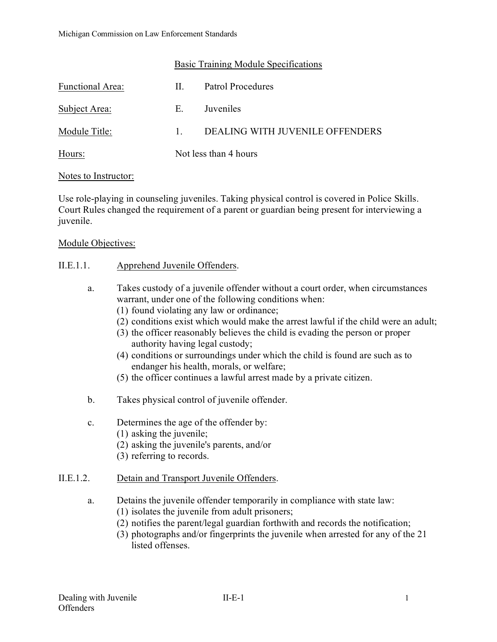### Basic Training Module Specifications

| Functional Area: | H.      | Patrol Procedures               |  |
|------------------|---------|---------------------------------|--|
| Subject Area:    | Е.      | Juveniles                       |  |
| Module Title:    | $1_{-}$ | DEALING WITH JUVENILE OFFENDERS |  |
| Hours:           |         | Not less than 4 hours           |  |

#### Notes to Instructor:

Use role-playing in counseling juveniles. Taking physical control is covered in Police Skills. Court Rules changed the requirement of a parent or guardian being present for interviewing a juvenile.

### Module Objectives:

### II.E.1.1. Apprehend Juvenile Offenders.

- a. Takes custody of a juvenile offender without a court order, when circumstances warrant, under one of the following conditions when:
	- (1) found violating any law or ordinance;
	- (2) conditions exist which would make the arrest lawful if the child were an adult;
	- (3) the officer reasonably believes the child is evading the person or proper authority having legal custody;
	- (4) conditions or surroundings under which the child is found are such as to endanger his health, morals, or welfare;
	- (5) the officer continues a lawful arrest made by a private citizen.
- b. Takes physical control of juvenile offender.
- c. Determines the age of the offender by:
	- (1) asking the juvenile;
	- (2) asking the juvenile's parents, and/or
	- (3) referring to records.

## II.E.1.2. Detain and Transport Juvenile Offenders.

a. Detains the juvenile offender temporarily in compliance with state law:

- (1) isolates the juvenile from adult prisoners;
- (2) notifies the parent/legal guardian forthwith and records the notification;
- (3) photographs and/or fingerprints the juvenile when arrested for any of the 21 listed offenses.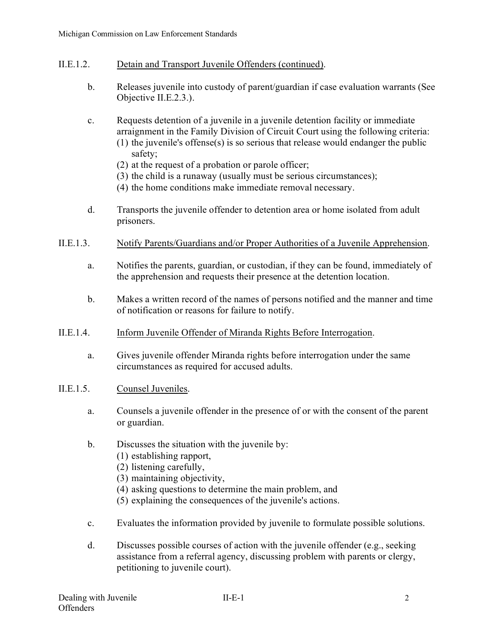- II.E.1.2. Detain and Transport Juvenile Offenders (continued).
	- b. Releases juvenile into custody of parent/guardian if case evaluation warrants (See Objective II.E.2.3.).
	- c. Requests detention of a juvenile in a juvenile detention facility or immediate arraignment in the Family Division of Circuit Court using the following criteria: (1) the juvenile's offense(s) is so serious that release would endanger the public safety;
		- (2) at the request of a probation or parole officer;
		- (3) the child is a runaway (usually must be serious circumstances);
		- (4) the home conditions make immediate removal necessary.
	- d. Transports the juvenile offender to detention area or home isolated from adult prisoners.
- II.E.1.3. Notify Parents/Guardians and/or Proper Authorities of a Juvenile Apprehension.
	- a. Notifies the parents, guardian, or custodian, if they can be found, immediately of the apprehension and requests their presence at the detention location.
	- b. Makes a written record of the names of persons notified and the manner and time of notification or reasons for failure to notify.
- II.E.1.4. Inform Juvenile Offender of Miranda Rights Before Interrogation.
	- a. Gives juvenile offender Miranda rights before interrogation under the same circumstances as required for accused adults.
- II.E.1.5. Counsel Juveniles.
	- a. Counsels a juvenile offender in the presence of or with the consent of the parent or guardian.
	- b. Discusses the situation with the juvenile by:
		- (1) establishing rapport,
		- (2) listening carefully,
		- (3) maintaining objectivity,
		- (4) asking questions to determine the main problem, and
		- (5) explaining the consequences of the juvenile's actions.
	- c. Evaluates the information provided by juvenile to formulate possible solutions.
	- d. Discusses possible courses of action with the juvenile offender (e.g., seeking assistance from a referral agency, discussing problem with parents or clergy, petitioning to juvenile court).